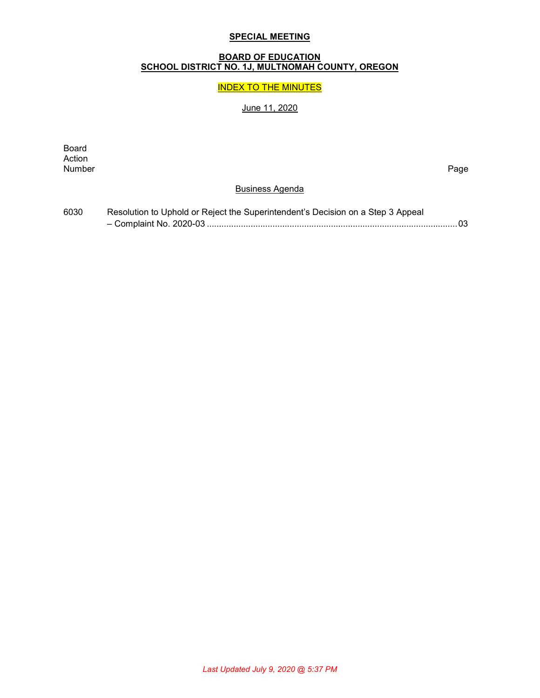## **SPECIAL MEETING**

#### **BOARD OF EDUCATION SCHOOL DISTRICT NO. 1J, MULTNOMAH COUNTY, OREGON**

## INDEX TO THE MINUTES

# June 11, 2020

Board Action<br>Number Number Page

#### Business Agenda

| 6030 | Resolution to Uphold or Reject the Superintendent's Decision on a Step 3 Appeal |  |
|------|---------------------------------------------------------------------------------|--|
|      |                                                                                 |  |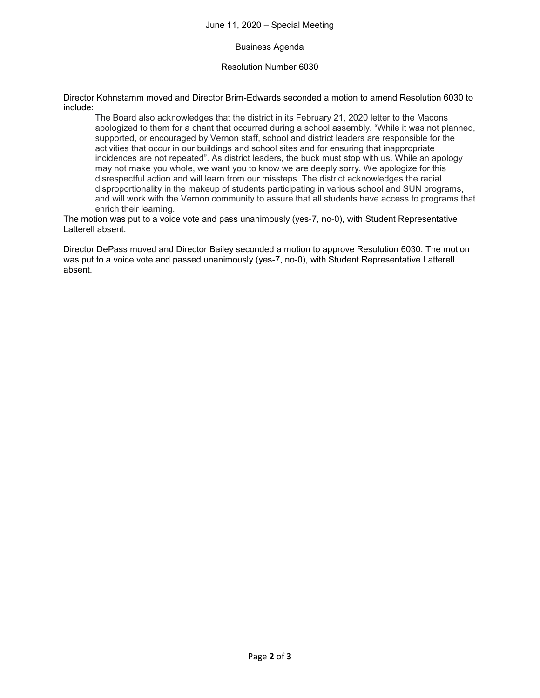### Business Agenda

#### Resolution Number 6030

Director Kohnstamm moved and Director Brim-Edwards seconded a motion to amend Resolution 6030 to include:

The Board also acknowledges that the district in its February 21, 2020 letter to the Macons apologized to them for a chant that occurred during a school assembly. "While it was not planned, supported, or encouraged by Vernon staff, school and district leaders are responsible for the activities that occur in our buildings and school sites and for ensuring that inappropriate incidences are not repeated". As district leaders, the buck must stop with us. While an apology may not make you whole, we want you to know we are deeply sorry. We apologize for this disrespectful action and will learn from our missteps. The district acknowledges the racial disproportionality in the makeup of students participating in various school and SUN programs, and will work with the Vernon community to assure that all students have access to programs that enrich their learning.

The motion was put to a voice vote and pass unanimously (yes-7, no-0), with Student Representative Latterell absent.

Director DePass moved and Director Bailey seconded a motion to approve Resolution 6030. The motion was put to a voice vote and passed unanimously (yes-7, no-0), with Student Representative Latterell absent.